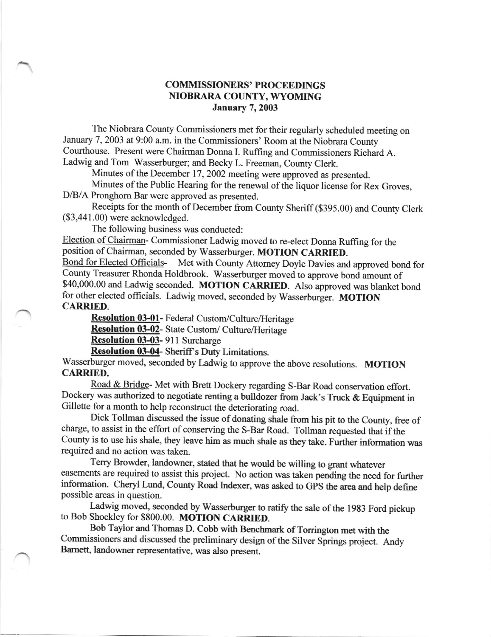## COMMISSIONERS' PROCEEDINGS NIOBRARA COUNTY, WYOMING January 7, 2003

The Niobrara County Commissioners met for their regularly scheduled meeting on January 7, 2003 at 9:00 a.m. in the Commissioners' Room at the Niobrara County Courthouse. Present were Chairman Donna I. Rulfing and Commissioners Richard A. Ladwig and Tom Wasserburger; and Becky L. Freeman, County Clerk.

Minutes of the December 17, 2002 meeting were approved as presented.

Minutes of the Public Hearing for the renewal of the liquor license for Rex Groves, D/B/A Pronghom Bar were approved as presented.

Receipts for the month of December fiom county Sheriff(\$395.00) and county clerk (\$3,44 1.00) were acknowledged.

The following business was conducted:

Election of chairman- commissioner Ladwig moved to re-elect Donna Ruffing for the position of Chairman, seconded by Wasserburger. MOTION CARRIED.<br>Bond for Elected Officials- Met with County Attorney Dovle Davies and

Met with County Attorney Doyle Davies and approved bond for county Treasurer Rhonda Holdbrook. wasserburger moved to approve bond amount of \$40,000.00 and Ladwig seconded. MOTION CARRIED. Also approved was blanket bond for other elected officials. Ladwig moved, seconded by Wasserburger. MOTION CARRIED.

Resolution 03-01- Federal Custom/Culture/Heritage

Resolution 03-02- State Custom/ Culture/Heritage

Resolution 03-03- 9ll Surcharge

Resolution 03-04- Sheriff's Duty Limitations.

Wasserburger moved, seconded by Ladwig to approve the above resolutions. MOTION CARRIED.

Road & Bridge- Met with Brett Dockery regarding S-Bar Road conservation effort. Dockery was authorized to negotiate renting a bulldozer from Jack's Truck & Equipment in Gillette for a month to help reconstruct the deteriorating road.

Dick Tollman discussed the issue of donating shale from his pit to the County, free of charge, to assist in the effort of conserving the S-Bar Road. Tollman requested that if the county is to use his shale, they leave him as much shale as they take. Further information was required and no action was taken.

Terry Browder, landowner, stated that he would be willing to grant whatever easements are required to assist this project. No action was taken pending the need for further information. Cheryl Lund, County Road Indexer, was asked to GPS the area and help define possible areas in question.

Ladwig moved, seconded by Wasserburger to ratify the sale of the 1983 Ford pickup to Bob Shockley for \$800.00. MOTION CARRIED.

Bob Taylor and Thomas D. Cobb with Benchmark of Torrington met with the Commissioners and discussed the preliminary design of the Silver Springs project. Andy Bamett, landowner representative, was also present.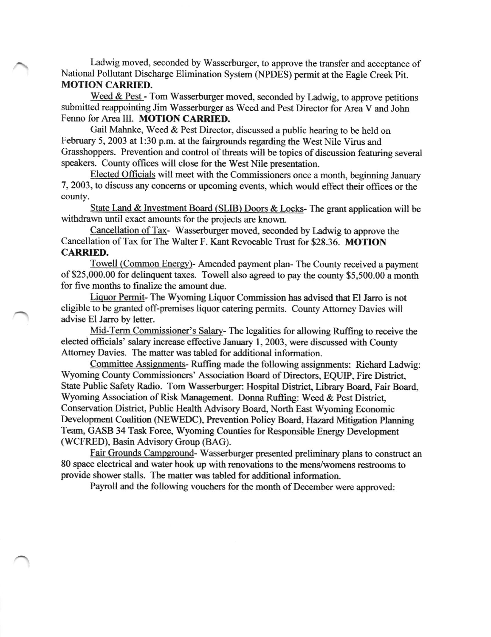Ladwig moved, seconded by Wasserburger, to approve the transfer and acceptance of National Pollutant Discharge Elimination System (NPDES) permit at the Eagle Creek Pit. **MOTION CARRIED.** 

Weed & Pest - Tom Wasserburger moved, seconded by Ladwig, to approve petitions submitted reappointing Jim Wasserburger as Weed and Pest Director for Area V and John Fenno for Area III. MOTION CARRIED.

Gail Mahnke, Weed & Pest Director, discussed a public hearing to be held on February 5, 2003 at 1:30 p.m. at the fairgrounds regarding the West Nile Virus and Grasshoppers. Prevention and control of threats will be topics of discussion featuring several speakers. County offices will close for the West Nile presentation.

Elected Officials will meet with the Commissioners once a month, beginning January 7, 2003, to discuss any concerns or upcoming events, which would effect their offices or the county.

State Land & Investment Board (SLIB) Doors & Locks- The grant application will be withdrawn until exact amounts for the projects are known.

Cancellation of Tax- Wasserburger moved, seconded by Ladwig to approve the Cancellation of Tax for The Walter F. Kant Revocable Trust for \$28.36. MOTION CARRIED,

Towell (Common Enerqv)- Amended payment plan- The County received a payment of \$25,000.00 for delinquent taxes. Towell also agreed to pay the county \$5,500.00 a month for five months to finalize the amount due.

Liquor Permit- The Wyoming Liquor Commission has advised that El Jarro is not eligible to be granted off-premises liquor catering permits. County Attomey Davies will advise El Jarro by letter.

Mid-Term Commissioner's Salarv- The legalities for allowing Ruffing to receive the elected officials' salary increase effective January 1,2003, were discussed with County Attomey Davies. The matter was tabled for additional information.

Committee Assignments- Ruffing made the following assignments: Richard Ladwig: Wyoming County Commissioners' Association Board of Directors, EQUIP, Fire District, State Public Safety Radio. Tom Wasserburger: Hospital District, Library Board, Fair Board, Wyoming Association of Risk Management. Donna Ruffing: Weed & Pest District, Conservation District, Public Health Advisory Board, North East Wyoming Economic Development Coalition (NEWEDC), Prevention Policy Board, Hazard Mitigation Planning Team, GASB 34 Task Force, Wyoming Counties for Responsible Energy Development (WCFRED), Basin Advisory Group (BAG).

Fair Grounds Campground-Wasserburger presented preliminary plans to construct an 80 space electrical and water hook up with renovations to the mens/womens restrooms to provide shower stalls. The matter was tabled for additional information.

Payroll and the following vouchers for the month of December were approved: